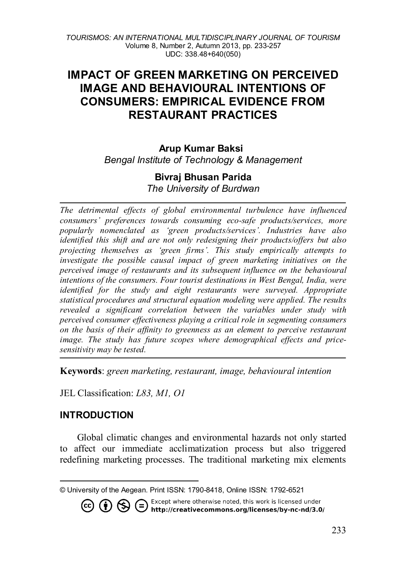# **IMPACT OF GREEN MARKETING ON PERCEIVED IMAGE AND BEHAVIOURAL INTENTIONS OF CONSUMERS: EMPIRICAL EVIDENCE FROM RESTAURANT PRACTICES**

### **Arup Kumar Baksi[1](#page-0-0)** *Bengal Institute of Technology & Management*

# **Bivraj Bhusan Parida**

*The University of Burdwan*

*The detrimental effects of global environmental turbulence have influenced consumers' preferences towards consuming eco-safe products/services, more popularly nomenclated as 'green products/services'. Industries have also identified this shift and are not only redesigning their products/offers but also projecting themselves as 'green firms'. This study empirically attempts to investigate the possible causal impact of green marketing initiatives on the perceived image of restaurants and its subsequent influence on the behavioural intentions of the consumers. Four tourist destinations in West Bengal, India, were identified for the study and eight restaurants were surveyed. Appropriate statistical procedures and structural equation modeling were applied. The results revealed a significant correlation between the variables under study with perceived consumer effectiveness playing a critical role in segmenting consumers on the basis of their affinity to greenness as an element to perceive restaurant image. The study has future scopes where demographical effects and pricesensitivity may be tested.* 

**Keywords**: *green marketing, restaurant, image, behavioural intention*

JEL Classification: *L83, M1, O1*

## **INTRODUCTION**

Global climatic changes and environmental hazards not only started to affect our immediate acclimatization process but also triggered redefining marketing processes. The traditional marketing mix elements

Except where otherwise noted, this work is licensed under  $($ = / http://creativecommons.org/licenses/by-nc-nd/3.0/

<span id="page-0-0"></span>l © University of the Aegean. Print ISSN: 1790-8418, Online ISSN: 1792-6521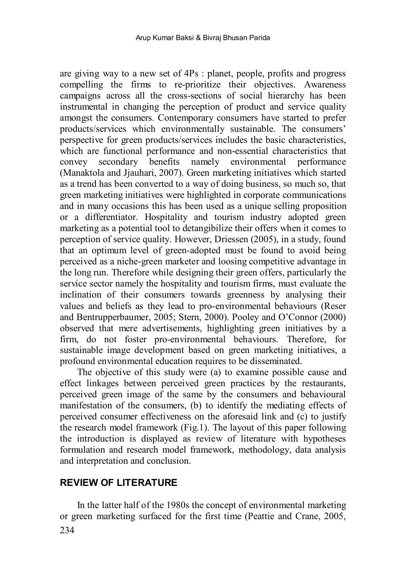are giving way to a new set of 4Ps : planet, people, profits and progress compelling the firms to re-prioritize their objectives. Awareness campaigns across all the cross-sections of social hierarchy has been instrumental in changing the perception of product and service quality amongst the consumers. Contemporary consumers have started to prefer products/services which environmentally sustainable. The consumers' perspective for green products/services includes the basic characteristics, which are functional performance and non-essential characteristics that convey secondary benefits namely environmental performance (Manaktola and Jjauhari, 2007). Green marketing initiatives which started as a trend has been converted to a way of doing business, so much so, that green marketing initiatives were highlighted in corporate communications and in many occasions this has been used as a unique selling proposition or a differentiator. Hospitality and tourism industry adopted green marketing as a potential tool to detangibilize their offers when it comes to perception of service quality. However, Driessen (2005), in a study, found that an optimum level of green-adopted must be found to avoid being perceived as a niche-green marketer and loosing competitive advantage in the long run. Therefore while designing their green offers, particularly the service sector namely the hospitality and tourism firms, must evaluate the inclination of their consumers towards greenness by analysing their values and beliefs as they lead to pro-environmental behaviours (Reser and Bentrupperbaumer, 2005; Stern, 2000). Pooley and O'Connor (2000) observed that mere advertisements, highlighting green initiatives by a firm, do not foster pro-environmental behaviours. Therefore, for sustainable image development based on green marketing initiatives, a profound environmental education requires to be disseminated.

The objective of this study were (a) to examine possible cause and effect linkages between perceived green practices by the restaurants, perceived green image of the same by the consumers and behavioural manifestation of the consumers, (b) to identify the mediating effects of perceived consumer effectiveness on the aforesaid link and (c) to justify the research model framework (Fig.1). The layout of this paper following the introduction is displayed as review of literature with hypotheses formulation and research model framework, methodology, data analysis and interpretation and conclusion.

## **REVIEW OF LITERATURE**

234 In the latter half of the 1980s the concept of environmental marketing or green marketing surfaced for the first time (Peattie and Crane, 2005,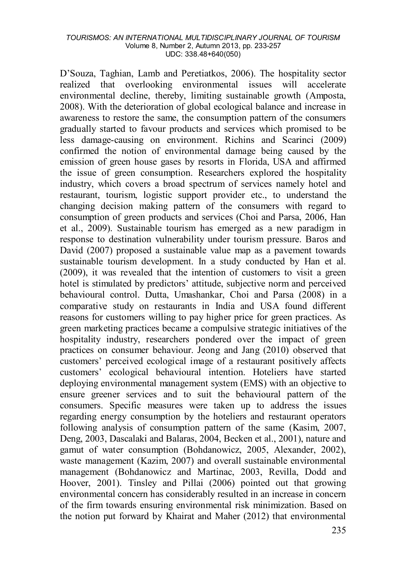D'Souza, Taghian, Lamb and Peretiatkos, 2006). The hospitality sector realized that overlooking environmental issues will accelerate environmental decline, thereby, limiting sustainable growth (Amposta, 2008). With the deterioration of global ecological balance and increase in awareness to restore the same, the consumption pattern of the consumers gradually started to favour products and services which promised to be less damage-causing on environment. Richins and Scarinci (2009) confirmed the notion of environmental damage being caused by the emission of green house gases by resorts in Florida, USA and affirmed the issue of green consumption. Researchers explored the hospitality industry, which covers a broad spectrum of services namely hotel and restaurant, tourism, logistic support provider etc., to understand the changing decision making pattern of the consumers with regard to consumption of green products and services (Choi and Parsa, 2006, Han et al., 2009). Sustainable tourism has emerged as a new paradigm in response to destination vulnerability under tourism pressure. Baros and David (2007) proposed a sustainable value map as a pavement towards sustainable tourism development. In a study conducted by Han et al. (2009), it was revealed that the intention of customers to visit a green hotel is stimulated by predictors' attitude, subjective norm and perceived behavioural control. Dutta, Umashankar, Choi and Parsa (2008) in a comparative study on restaurants in India and USA found different reasons for customers willing to pay higher price for green practices. As green marketing practices became a compulsive strategic initiatives of the hospitality industry, researchers pondered over the impact of green practices on consumer behaviour. Jeong and Jang (2010) observed that customers' perceived ecological image of a restaurant positively affects customers' ecological behavioural intention. Hoteliers have started deploying environmental management system (EMS) with an objective to ensure greener services and to suit the behavioural pattern of the consumers. Specific measures were taken up to address the issues regarding energy consumption by the hoteliers and restaurant operators following analysis of consumption pattern of the same (Kasim, 2007, Deng, 2003, Dascalaki and Balaras, 2004, Becken et al., 2001), nature and gamut of water consumption (Bohdanowicz, 2005, Alexander, 2002), waste management (Kazim, 2007) and overall sustainable environmental management (Bohdanowicz and Martinac, 2003, Revilla, Dodd and Hoover, 2001). Tinsley and Pillai (2006) pointed out that growing environmental concern has considerably resulted in an increase in concern of the firm towards ensuring environmental risk minimization. Based on the notion put forward by Khairat and Maher (2012) that environmental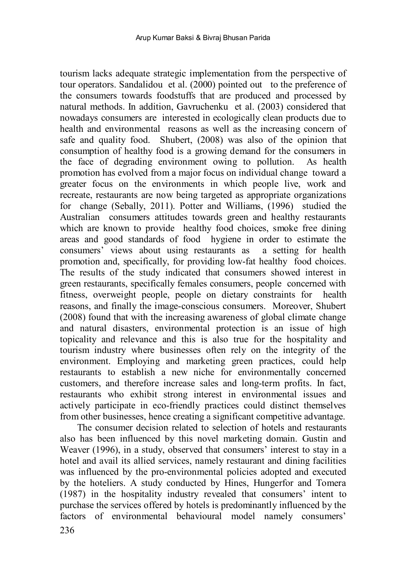tourism lacks adequate strategic implementation from the perspective of tour operators. Sandalidou et al. (2000) pointed out to the preference of the consumers towards foodstuffs that are produced and processed by natural methods. In addition, Gavruchenku et al. (2003) considered that nowadays consumers are interested in ecologically clean products due to health and environmental reasons as well as the increasing concern of safe and quality food. Shubert, (2008) was also of the opinion that consumption of healthy food is a growing demand for the consumers in the face of degrading environment owing to pollution. As health promotion has evolved from a major focus on individual change toward a greater focus on the environments in which people live, work and recreate, restaurants are now being targeted as appropriate organizations for change (Sebally, 2011). Potter and Williams, (1996) studied the Australian consumers attitudes towards green and healthy restaurants which are known to provide healthy food choices, smoke free dining areas and good standards of food hygiene in order to estimate the consumers' views about using restaurants as a setting for health promotion and, specifically, for providing low-fat healthy food choices. The results of the study indicated that consumers showed interest in green restaurants, specifically females consumers, people concerned with fitness, overweight people, people on dietary constraints for health reasons, and finally the image-conscious consumers. Moreover, Shubert (2008) found that with the increasing awareness of global climate change and natural disasters, environmental protection is an issue of high topicality and relevance and this is also true for the hospitality and tourism industry where businesses often rely on the integrity of the environment. Employing and marketing green practices, could help restaurants to establish a new niche for environmentally concerned customers, and therefore increase sales and long-term profits. In fact, restaurants who exhibit strong interest in environmental issues and actively participate in eco-friendly practices could distinct themselves from other businesses, hence creating a significant competitive advantage.

The consumer decision related to selection of hotels and restaurants also has been influenced by this novel marketing domain. Gustin and Weaver (1996), in a study, observed that consumers' interest to stay in a hotel and avail its allied services, namely restaurant and dining facilities was influenced by the pro-environmental policies adopted and executed by the hoteliers. A study conducted by Hines, Hungerfor and Tomera (1987) in the hospitality industry revealed that consumers' intent to purchase the services offered by hotels is predominantly influenced by the factors of environmental behavioural model namely consumers'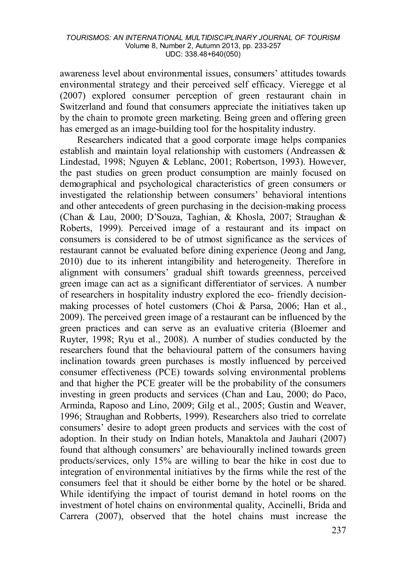awareness level about environmental issues, consumers' attitudes towards environmental strategy and their perceived self efficacy. Vieregge et al (2007) explored consumer perception of green restaurant chain in Switzerland and found that consumers appreciate the initiatives taken up by the chain to promote green marketing. Being green and offering green has emerged as an image-building tool for the hospitality industry.

Researchers indicated that a good corporate image helps companies establish and maintain loyal relationship with customers (Andreassen & Lindestad, 1998; Nguyen & Leblanc, 2001; Robertson, 1993). However, the past studies on green product consumption are mainly focused on demographical and psychological characteristics of green consumers or investigated the relationship between consumers' behavioral intentions and other antecedents of green purchasing in the decision-making process (Chan & Lau, 2000; D'Souza, Taghian, & Khosla, 2007; Straughan & Roberts, 1999). Perceived image of a restaurant and its impact on consumers is considered to be of utmost significance as the services of restaurant cannot be evaluated before dining experience (Jeong and Jang, 2010) due to its inherent intangibility and heterogeneity. Therefore in alignment with consumers' gradual shift towards greenness, perceived green image can act as a significant differentiator of services. A number of researchers in hospitality industry explored the eco- friendly decisionmaking processes of hotel customers (Choi & Parsa, 2006; Han et al., 2009). The perceived green image of a restaurant can be influenced by the green practices and can serve as an evaluative criteria (Bloemer and Ruyter, 1998; Ryu et al., 2008). A number of studies conducted by the researchers found that the behavioural pattern of the consumers having inclination towards green purchases is mostly influenced by perceived consumer effectiveness (PCE) towards solving environmental problems and that higher the PCE greater will be the probability of the consumers investing in green products and services (Chan and Lau, 2000; do Paco, Arminda, Raposo and Lino, 2009; Gilg et al., 2005; Gustin and Weaver, 1996; Straughan and Robberts, 1999). Researchers also tried to correlate consumers' desire to adopt green products and services with the cost of adoption. In their study on Indian hotels, Manaktola and Jauhari (2007) found that although consumers' are behaviourally inclined towards green products/services, only 15% are willing to bear the hike in cost due to integration of environmental initiatives by the firms while the rest of the consumers feel that it should be either borne by the hotel or be shared. While identifying the impact of tourist demand in hotel rooms on the investment of hotel chains on environmental quality, Accinelli, Brida and Carrera (2007), observed that the hotel chains must increase the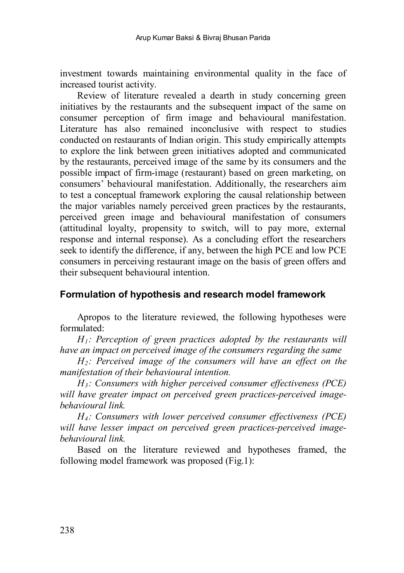investment towards maintaining environmental quality in the face of increased tourist activity.

Review of literature revealed a dearth in study concerning green initiatives by the restaurants and the subsequent impact of the same on consumer perception of firm image and behavioural manifestation. Literature has also remained inconclusive with respect to studies conducted on restaurants of Indian origin. This study empirically attempts to explore the link between green initiatives adopted and communicated by the restaurants, perceived image of the same by its consumers and the possible impact of firm-image (restaurant) based on green marketing, on consumers' behavioural manifestation. Additionally, the researchers aim to test a conceptual framework exploring the causal relationship between the major variables namely perceived green practices by the restaurants, perceived green image and behavioural manifestation of consumers (attitudinal loyalty, propensity to switch, will to pay more, external response and internal response). As a concluding effort the researchers seek to identify the difference, if any, between the high PCE and low PCE consumers in perceiving restaurant image on the basis of green offers and their subsequent behavioural intention.

## **Formulation of hypothesis and research model framework**

Apropos to the literature reviewed, the following hypotheses were formulated:

*H1: Perception of green practices adopted by the restaurants will have an impact on perceived image of the consumers regarding the same* 

*H2: Perceived image of the consumers will have an effect on the manifestation of their behavioural intention.*

*H3: Consumers with higher perceived consumer effectiveness (PCE) will have greater impact on perceived green practices-perceived imagebehavioural link.*

*H4: Consumers with lower perceived consumer effectiveness (PCE) will have lesser impact on perceived green practices-perceived imagebehavioural link.*

Based on the literature reviewed and hypotheses framed, the following model framework was proposed (Fig.1):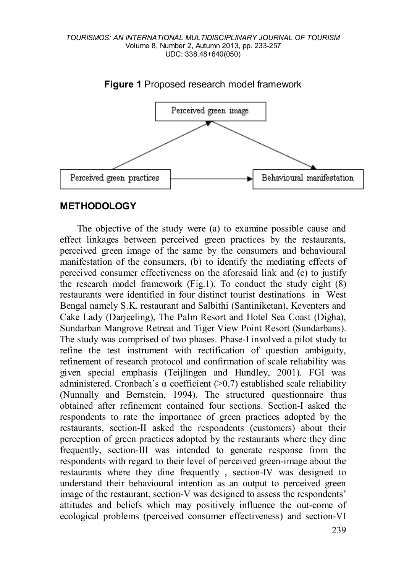

**Figure 1** Proposed research model framework

## **METHODOLOGY**

The objective of the study were (a) to examine possible cause and effect linkages between perceived green practices by the restaurants, perceived green image of the same by the consumers and behavioural manifestation of the consumers, (b) to identify the mediating effects of perceived consumer effectiveness on the aforesaid link and (c) to justify the research model framework (Fig.1). To conduct the study eight (8) restaurants were identified in four distinct tourist destinations in West Bengal namely S.K. restaurant and Salbithi (Santiniketan), Keventers and Cake Lady (Darjeeling), The Palm Resort and Hotel Sea Coast (Digha), Sundarban Mangrove Retreat and Tiger View Point Resort (Sundarbans). The study was comprised of two phases. Phase-I involved a pilot study to refine the test instrument with rectification of question ambiguity, refinement of research protocol and confirmation of scale reliability was given special emphasis (Teijlingen and Hundley, 2001). FGI was administered. Cronbach's α coefficient (>0.7) established scale reliability (Nunnally and Bernstein, 1994). The structured questionnaire thus obtained after refinement contained four sections. Section-I asked the respondents to rate the importance of green practices adopted by the restaurants, section-II asked the respondents (customers) about their perception of green practices adopted by the restaurants where they dine frequently, section-III was intended to generate response from the respondents with regard to their level of perceived green-image about the restaurants where they dine frequently , section-IV was designed to understand their behavioural intention as an output to perceived green image of the restaurant, section-V was designed to assess the respondents' attitudes and beliefs which may positively influence the out-come of ecological problems (perceived consumer effectiveness) and section-VI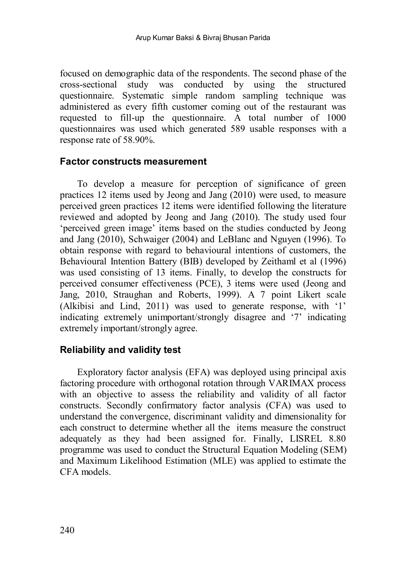focused on demographic data of the respondents. The second phase of the cross-sectional study was conducted by using the structured questionnaire. Systematic simple random sampling technique was administered as every fifth customer coming out of the restaurant was requested to fill-up the questionnaire. A total number of 1000 questionnaires was used which generated 589 usable responses with a response rate of 58.90%.

### **Factor constructs measurement**

To develop a measure for perception of significance of green practices 12 items used by Jeong and Jang (2010) were used, to measure perceived green practices 12 items were identified following the literature reviewed and adopted by Jeong and Jang (2010). The study used four 'perceived green image' items based on the studies conducted by Jeong and Jang (2010), Schwaiger (2004) and LeBlanc and Nguyen (1996). To obtain response with regard to behavioural intentions of customers, the Behavioural Intention Battery (BIB) developed by Zeithaml et al (1996) was used consisting of 13 items. Finally, to develop the constructs for perceived consumer effectiveness (PCE), 3 items were used (Jeong and Jang, 2010, Straughan and Roberts, 1999). A 7 point Likert scale (Alkibisi and Lind, 2011) was used to generate response, with '1' indicating extremely unimportant/strongly disagree and '7' indicating extremely important/strongly agree.

## **Reliability and validity test**

Exploratory factor analysis (EFA) was deployed using principal axis factoring procedure with orthogonal rotation through VARIMAX process with an objective to assess the reliability and validity of all factor constructs. Secondly confirmatory factor analysis (CFA) was used to understand the convergence, discriminant validity and dimensionality for each construct to determine whether all the items measure the construct adequately as they had been assigned for. Finally, LISREL 8.80 programme was used to conduct the Structural Equation Modeling (SEM) and Maximum Likelihood Estimation (MLE) was applied to estimate the CFA models.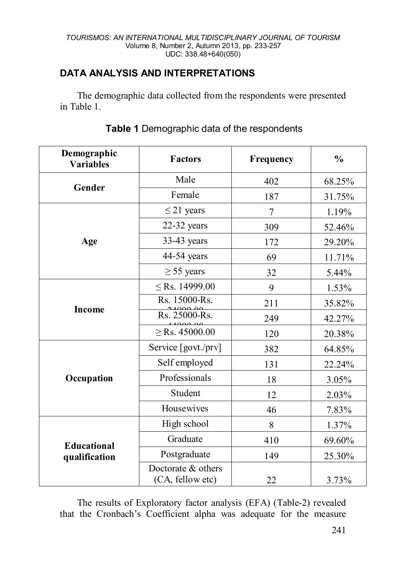# **DATA ANALYSIS AND INTERPRETATIONS**

The demographic data collected from the respondents were presented in Table 1.

| Demographic<br><b>Variables</b> | <b>Factors</b>                         | Frequency | $\frac{0}{0}$ |
|---------------------------------|----------------------------------------|-----------|---------------|
|                                 | Male                                   | 402       | 68.25%        |
| Gender                          | Female                                 | 187       | 31.75%        |
|                                 | $\leq$ 21 years                        | 7         | 1.19%         |
|                                 | 22-32 years                            | 309       | 52.46%        |
| Age                             | 33-43 years                            | 172       | 29.20%        |
|                                 | 44-54 years                            | 69        | 11.71%        |
|                                 | $\geq$ 55 years                        | 32        | 5.44%         |
|                                 | $\le$ Rs. 14999.00                     | 9         | 1.53%         |
| <b>Income</b>                   | Rs. 15000-Rs.                          | 211       | 35.82%        |
|                                 | Rs. 25000-Rs.                          | 249       | 42.27%        |
|                                 | $\ge$ Rs. 45000.00                     | 120       | 20.38%        |
|                                 | Service [govt./prv]                    | 382       | 64.85%        |
|                                 | Self employed                          | 131       | 22.24%        |
| Occupation                      | Professionals                          | 18        | 3.05%         |
|                                 | Student                                | 12        | 2.03%         |
|                                 | Housewives                             | 46        | 7.83%         |
|                                 | High school                            | 8         | 1.37%         |
| <b>Educational</b>              | Graduate                               | 410       | 69.60%        |
| qualification                   | Postgraduate                           | 149       | 25.30%        |
|                                 | Doctorate & others<br>(CA, fellow etc) | 22        | 3.73%         |

## **Table 1** Demographic data of the respondents

The results of Exploratory factor analysis (EFA) (Table-2) revealed that the Cronbach's Coefficient alpha was adequate for the measure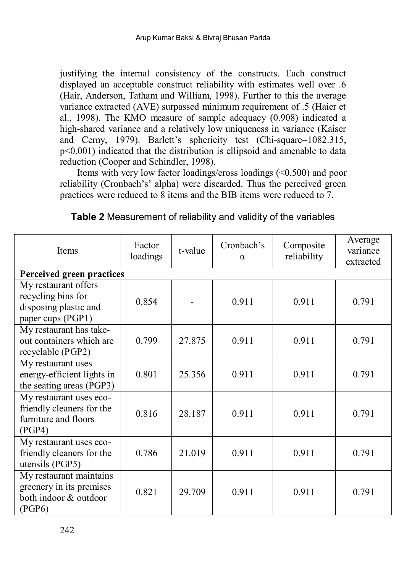justifying the internal consistency of the constructs. Each construct displayed an acceptable construct reliability with estimates well over .6 (Hair, Anderson, Tatham and William, 1998). Further to this the average variance extracted (AVE) surpassed minimum requirement of .5 (Haier et al., 1998). The KMO measure of sample adequacy (0.908) indicated a high-shared variance and a relatively low uniqueness in variance (Kaiser and Cerny, 1979). Barlett's sphericity test (Chi-square=1082.315, p<0.001) indicated that the distribution is ellipsoid and amenable to data reduction (Cooper and Schindler, 1998).

Items with very low factor loadings/cross loadings (<0.500) and poor reliability (Cronbach's' alpha) were discarded. Thus the perceived green practices were reduced to 8 items and the BIB items were reduced to 7.

| <b>Items</b>                                                                             | Factor<br>t-value<br>loadings |        | Cronbach's<br>$\alpha$ | Composite<br>reliability | Average<br>variance<br>extracted |  |
|------------------------------------------------------------------------------------------|-------------------------------|--------|------------------------|--------------------------|----------------------------------|--|
| Perceived green practices                                                                |                               |        |                        |                          |                                  |  |
| My restaurant offers<br>recycling bins for<br>disposing plastic and<br>paper cups (PGP1) | 0.854                         |        | 0.911                  | 0.911                    | 0.791                            |  |
| My restaurant has take-<br>out containers which are<br>recyclable (PGP2)                 | 0.799                         | 27 875 | 0.911                  | 0.911                    | 0.791                            |  |
| My restaurant uses<br>energy-efficient lights in<br>the seating areas (PGP3)             | 0.801                         | 25.356 | 0.911                  | 0.911                    | 0.791                            |  |
| My restaurant uses eco-<br>friendly cleaners for the<br>furniture and floors<br>(PGP4)   | 0.816                         | 28.187 | 0.911                  | 0.911                    | 0.791                            |  |
| My restaurant uses eco-<br>friendly cleaners for the<br>utensils (PGP5)                  | 0.786                         | 21.019 | 0.911                  | 0.911                    | 0.791                            |  |
| My restaurant maintains<br>greenery in its premises<br>both indoor & outdoor<br>(PGP6)   | 0.821                         | 29.709 | 0.911                  | 0.911                    | 0.791                            |  |

**Table 2** Measurement of reliability and validity of the variables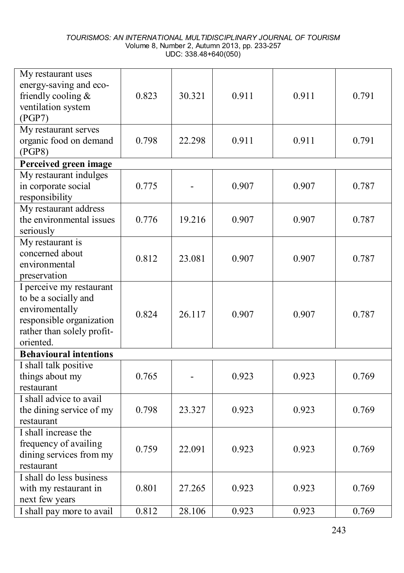| My restaurant uses<br>energy-saving and eco-<br>friendly cooling $&$<br>ventilation system<br>(PGP7)                                      | 0.823 | 30.321         | 0.911 | 0.911 | 0.791 |
|-------------------------------------------------------------------------------------------------------------------------------------------|-------|----------------|-------|-------|-------|
| My restaurant serves<br>organic food on demand<br>(PGP8)                                                                                  | 0.798 | 22.298         | 0.911 | 0.911 | 0.791 |
| Perceived green image                                                                                                                     |       |                |       |       |       |
| My restaurant indulges<br>in corporate social<br>responsibility                                                                           | 0.775 | $\blacksquare$ | 0.907 | 0.907 | 0.787 |
| My restaurant address<br>the environmental issues<br>seriously                                                                            | 0.776 | 19.216         | 0.907 | 0.907 | 0.787 |
| My restaurant is<br>concerned about<br>environmental<br>preservation                                                                      | 0.812 | 23.081         | 0.907 | 0.907 | 0.787 |
| I perceive my restaurant<br>to be a socially and<br>enviromentally<br>responsible organization<br>rather than solely profit-<br>oriented. | 0.824 | 26.117         | 0.907 | 0.907 | 0.787 |
| <b>Behavioural intentions</b>                                                                                                             |       |                |       |       |       |
| I shall talk positive<br>things about my<br>restaurant                                                                                    | 0.765 |                | 0.923 | 0.923 | 0.769 |
| I shall advice to avail<br>the dining service of my<br>restaurant                                                                         | 0.798 | 23.327         | 0.923 | 0.923 | 0.769 |
| I shall increase the<br>frequency of availing<br>dining services from my<br>restaurant                                                    | 0.759 | 22.091         | 0.923 | 0.923 | 0.769 |
| I shall do less business<br>with my restaurant in<br>next few years                                                                       | 0.801 | 27.265         | 0.923 | 0.923 | 0.769 |
| I shall pay more to avail                                                                                                                 | 0.812 | 28.106         | 0.923 | 0.923 | 0.769 |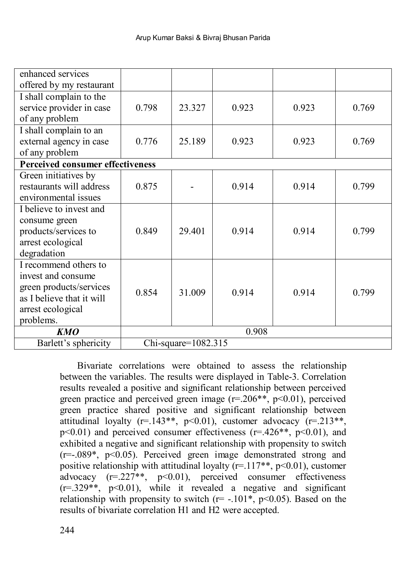| enhanced services                       |                        |        |       |       |       |  |  |  |
|-----------------------------------------|------------------------|--------|-------|-------|-------|--|--|--|
| offered by my restaurant                |                        |        |       |       |       |  |  |  |
| I shall complain to the                 |                        |        |       |       |       |  |  |  |
| service provider in case                | 0.798                  | 23.327 | 0.923 | 0.923 | 0.769 |  |  |  |
| of any problem                          |                        |        |       |       |       |  |  |  |
| I shall complain to an                  |                        |        |       |       |       |  |  |  |
| external agency in case                 | 0.776                  | 25.189 | 0.923 | 0.923 | 0.769 |  |  |  |
| of any problem                          |                        |        |       |       |       |  |  |  |
| <b>Perceived consumer effectiveness</b> |                        |        |       |       |       |  |  |  |
| Green initiatives by                    |                        |        |       |       |       |  |  |  |
| restaurants will address                | 0.875                  |        | 0.914 | 0.914 | 0.799 |  |  |  |
| environmental issues                    |                        |        |       |       |       |  |  |  |
| I believe to invest and                 |                        |        |       |       |       |  |  |  |
| consume green                           |                        |        |       |       |       |  |  |  |
| products/services to                    | 0.849                  | 29.401 | 0.914 | 0.914 | 0.799 |  |  |  |
| arrest ecological                       |                        |        |       |       |       |  |  |  |
| degradation                             |                        |        |       |       |       |  |  |  |
| I recommend others to                   |                        |        |       |       |       |  |  |  |
| invest and consume                      |                        |        |       |       |       |  |  |  |
| green products/services                 | 0.854                  | 31.009 | 0.914 | 0.914 | 0.799 |  |  |  |
| as I believe that it will               |                        |        |       |       |       |  |  |  |
| arrest ecological                       |                        |        |       |       |       |  |  |  |
| problems.                               |                        |        |       |       |       |  |  |  |
| <b>KMO</b>                              |                        |        | 0.908 |       |       |  |  |  |
| Barlett's sphericity                    | Chi-square= $1082.315$ |        |       |       |       |  |  |  |

Bivariate correlations were obtained to assess the relationship between the variables. The results were displayed in Table-3. Correlation results revealed a positive and significant relationship between perceived green practice and perceived green image  $(r=206**, p<0.01)$ , perceived green practice shared positive and significant relationship between attitudinal loyalty ( $r=143**$ ,  $p<0.01$ ), customer advocacy  $(r=.213**)$ ,  $p \le 0.01$ ) and perceived consumer effectiveness ( $r = 426**$ ,  $p \le 0.01$ ), and exhibited a negative and significant relationship with propensity to switch  $(r=-089^*$ ,  $p<0.05$ ). Perceived green image demonstrated strong and positive relationship with attitudinal loyalty ( $r=117**$ ,  $p<0.01$ ), customer advocacy  $(r=.227**, p<0.01)$ , perceived consumer effectiveness  $(r=329**, p<0.01)$ , while it revealed a negative and significant relationship with propensity to switch  $(r=-.101^*, p<0.05)$ . Based on the results of bivariate correlation H1 and H2 were accepted.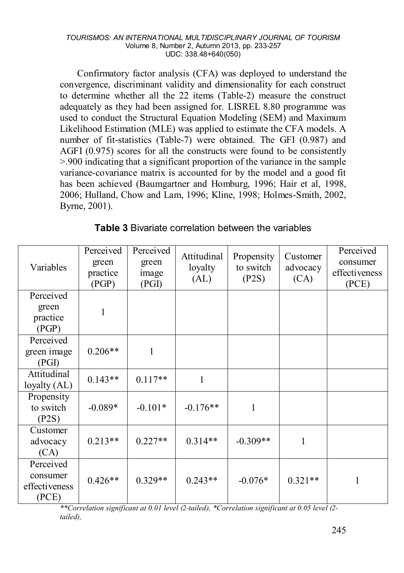Confirmatory factor analysis (CFA) was deployed to understand the convergence, discriminant validity and dimensionality for each construct to determine whether all the 22 items (Table-2) measure the construct adequately as they had been assigned for. LISREL 8.80 programme was used to conduct the Structural Equation Modeling (SEM) and Maximum Likelihood Estimation (MLE) was applied to estimate the CFA models. A number of fit-statistics (Table-7) were obtained. The GFI (0.987) and AGFI (0.975) scores for all the constructs were found to be consistently >.900 indicating that a significant proportion of the variance in the sample variance-covariance matrix is accounted for by the model and a good fit has been achieved (Baumgartner and Homburg, 1996; Hair et al, 1998, 2006; Hulland, Chow and Lam, 1996; Kline, 1998; Holmes-Smith, 2002, Byrne, 2001).

| Variables                                       | Perceived<br>green<br>practice<br>(PGP) | Perceived<br>green<br>image<br>(PGI) | Attitudinal<br>loyalty<br>(AL) | Propensity<br>to switch<br>(P2S) | Customer<br>advocacy<br>(CA) | Perceived<br>consumer<br>effectiveness<br>(PCE) |
|-------------------------------------------------|-----------------------------------------|--------------------------------------|--------------------------------|----------------------------------|------------------------------|-------------------------------------------------|
| Perceived<br>green<br>practice<br>(PGP)         | 1                                       |                                      |                                |                                  |                              |                                                 |
| Perceived<br>green image<br>(PGI)               | $0.206**$                               | 1                                    |                                |                                  |                              |                                                 |
| Attitudinal<br>loyalty (AL)                     | $0.143**$                               | $0.117**$                            | 1                              |                                  |                              |                                                 |
| Propensity<br>to switch<br>(P2S)                | $-0.089*$                               | $-0.101*$                            | $-0.176**$                     | 1                                |                              |                                                 |
| Customer<br>advocacy<br>(CA)                    | $0.213**$                               | $0.227**$                            | $0.314**$                      | $-0.309**$                       | 1                            |                                                 |
| Perceived<br>consumer<br>effectiveness<br>(PCE) | $0.426**$                               | $0.329**$                            | $0.243**$                      | $-0.076*$                        | $0.321**$                    | 1                                               |

**Table 3** Bivariate correlation between the variables

*\*\*Correlation significant at 0.01 level (2-tailed), \*Correlation significant at 0.05 level (2 tailed),*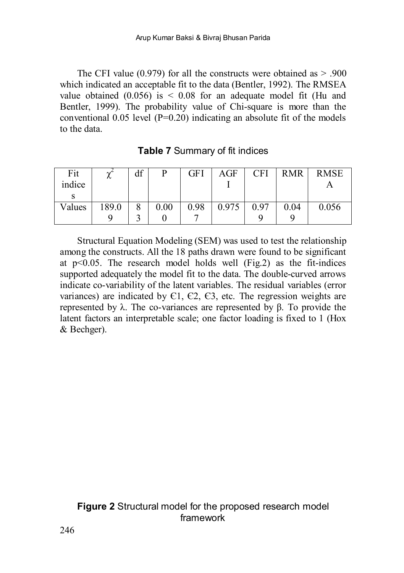The CFI value  $(0.979)$  for all the constructs were obtained as  $> .900$ which indicated an acceptable fit to the data (Bentler, 1992). The RMSEA value obtained  $(0.056)$  is  $\leq 0.08$  for an adequate model fit (Hu and Bentler, 1999). The probability value of Chi-square is more than the conventional  $0.05$  level (P=0.20) indicating an absolute fit of the models to the data.

| Fit<br>indice | $\sim$<br>∼ | df | p    | GFI  | AGF   | CFI  | <b>RMR</b> | <b>RMSE</b> |
|---------------|-------------|----|------|------|-------|------|------------|-------------|
|               |             |    |      |      |       |      |            |             |
| Values        | 189.0       |    | 0.00 | 0.98 | 0.975 | 0.97 | 0.04       | 0.056       |
|               |             |    |      |      |       |      |            |             |

**Table 7** Summary of fit indices

Structural Equation Modeling (SEM) was used to test the relationship among the constructs. All the 18 paths drawn were found to be significant at  $p<0.05$ . The research model holds well (Fig.2) as the fit-indices supported adequately the model fit to the data. The double-curved arrows indicate co-variability of the latent variables. The residual variables (error variances) are indicated by  $C1$ ,  $C2$ ,  $C3$ , etc. The regression weights are represented by λ. The co-variances are represented by β. To provide the latent factors an interpretable scale; one factor loading is fixed to 1 (Hox & Bechger).

## **Figure 2** Structural model for the proposed research model framework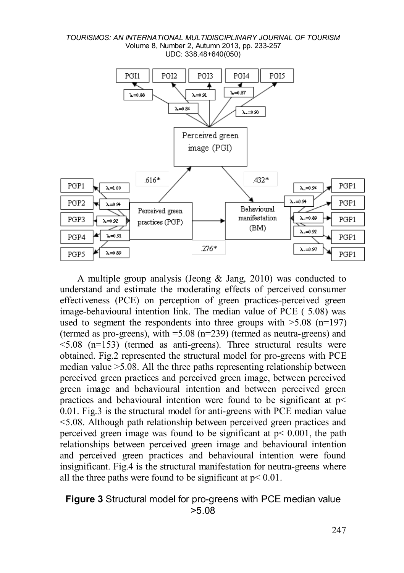

A multiple group analysis (Jeong & Jang, 2010) was conducted to understand and estimate the moderating effects of perceived consumer effectiveness (PCE) on perception of green practices-perceived green image-behavioural intention link. The median value of PCE ( 5.08) was used to segment the respondents into three groups with  $>5.08$  (n=197) (termed as pro-greens), with =5.08 (n=239) (termed as neutra-greens) and <5.08 (n=153) (termed as anti-greens). Three structural results were obtained. Fig.2 represented the structural model for pro-greens with PCE median value >5.08. All the three paths representing relationship between perceived green practices and perceived green image, between perceived green image and behavioural intention and between perceived green practices and behavioural intention were found to be significant at p< 0.01. Fig.3 is the structural model for anti-greens with PCE median value <5.08. Although path relationship between perceived green practices and perceived green image was found to be significant at  $p < 0.001$ , the path relationships between perceived green image and behavioural intention and perceived green practices and behavioural intention were found insignificant. Fig.4 is the structural manifestation for neutra-greens where all the three paths were found to be significant at  $p < 0.01$ .

### **Figure 3** Structural model for pro-greens with PCE median value >5.08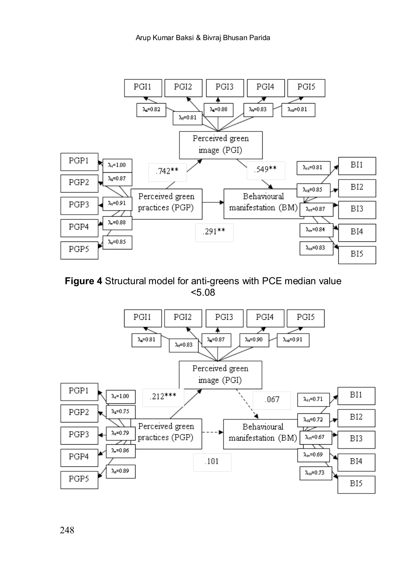

**Figure 4** Structural model for anti-greens with PCE median value <5.08



248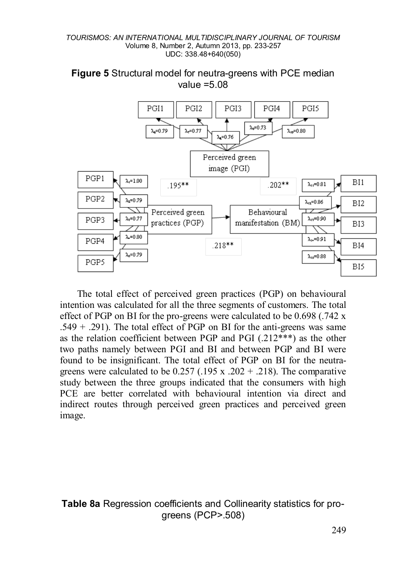

**Figure 5** Structural model for neutra-greens with PCE median value =5.08

The total effect of perceived green practices (PGP) on behavioural intention was calculated for all the three segments of customers. The total effect of PGP on BI for the pro-greens were calculated to be 0.698 (.742 x  $.549 + .291$ ). The total effect of PGP on BI for the anti-greens was same as the relation coefficient between PGP and PGI  $(.212***)$  as the other two paths namely between PGI and BI and between PGP and BI were found to be insignificant. The total effect of PGP on BI for the neutragreens were calculated to be  $0.257$  (.195 x .202 + .218). The comparative study between the three groups indicated that the consumers with high PCE are better correlated with behavioural intention via direct and indirect routes through perceived green practices and perceived green image.

**Table 8a** Regression coefficients and Collinearity statistics for progreens (PCP>.508)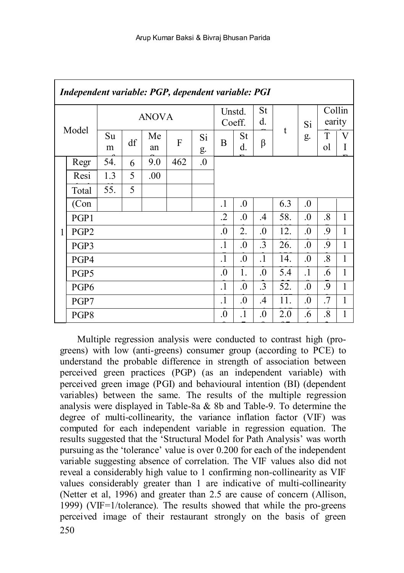|   | Independent variable: PGP, dependent variable: PGI |              |    |          |     |            |           |                  |               |     |            |                   |        |
|---|----------------------------------------------------|--------------|----|----------|-----|------------|-----------|------------------|---------------|-----|------------|-------------------|--------|
|   | Model                                              | <b>ANOVA</b> |    |          |     |            |           | Unstd.<br>Coeff. |               |     | Si         | Collin<br>earity  |        |
|   |                                                    | Su<br>m      | df | Me<br>an | F   | Si<br>g.   | B         | St<br>d.         | β             | t   | g.         | T<br>ol           | V<br>I |
|   | Regr                                               | 54.          | 6  | 9.0      | 462 | $\Omega$ . |           |                  |               |     |            |                   |        |
|   | Resi                                               | 1.3          | 5  | .00.     |     |            |           |                  |               |     |            |                   |        |
|   | Total                                              | 55.          | 5  |          |     |            |           |                  |               |     |            |                   |        |
|   | (Con                                               |              |    |          |     |            | $\cdot$ 1 | $\Omega$ .       |               | 6.3 | $\Omega$ . |                   |        |
|   | PGP1                                               |              |    |          |     |            | .2        | $\Omega$ .       | $\mathcal{A}$ | 58. | $\Omega$   | $\cdot^8$         | 1      |
| 1 | PGP <sub>2</sub>                                   |              |    |          |     |            | $\Omega$  | 2.               | $\Omega$ .    | 12. | $\Omega$ . | 9.                | 1      |
|   | PGP3                                               |              |    |          |     |            | $\cdot$ 1 | $\Omega$ .       | $\cdot$ 3     | 26. | $\Omega$ . | 9.                | 1      |
|   | PGP4                                               |              |    |          |     |            | $\cdot$ 1 | $\Omega$ .       | $\cdot$ 1     | 14. | $\Omega$ . | $\cdot^8$         | 1      |
|   | PGP <sub>5</sub>                                   |              |    |          |     |            | $\cdot$   | 1.               | $\Omega$      | 5.4 | $\cdot$ 1  | .6                | 1      |
|   | PGP <sub>6</sub>                                   |              |    |          |     |            | $\cdot$ 1 | $\Omega$ .       | $\cdot$ 3     | 52. | $\Omega$ . | .9                | 1      |
|   | PGP7                                               |              |    |          |     |            | $\cdot$ 1 | $\cdot$          | $\mathcal{A}$ | 11. | $\cdot$    | .7                | 1      |
|   | PGP8                                               |              |    |          |     |            | $\Omega$  | $\cdot$ 1        | $\cdot$       | 2.0 | .6         | $\boldsymbol{.8}$ | 1      |

250 Multiple regression analysis were conducted to contrast high (progreens) with low (anti-greens) consumer group (according to PCE) to understand the probable difference in strength of association between perceived green practices (PGP) (as an independent variable) with perceived green image (PGI) and behavioural intention (BI) (dependent variables) between the same. The results of the multiple regression analysis were displayed in Table-8a & 8b and Table-9. To determine the degree of multi-collinearity, the variance inflation factor (VIF) was computed for each independent variable in regression equation. The results suggested that the 'Structural Model for Path Analysis' was worth pursuing as the 'tolerance' value is over 0.200 for each of the independent variable suggesting absence of correlation. The VIF values also did not reveal a considerably high value to 1 confirming non-collinearity as VIF values considerably greater than 1 are indicative of multi-collinearity (Netter et al, 1996) and greater than 2.5 are cause of concern (Allison, 1999) (VIF=1/tolerance). The results showed that while the pro-greens perceived image of their restaurant strongly on the basis of green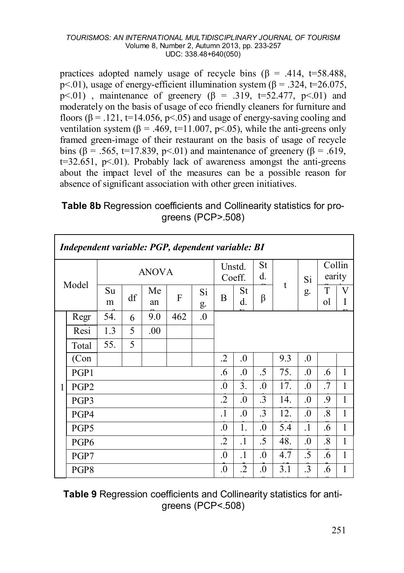practices adopted namely usage of recycle bins  $(\beta = .414, t=58.488,$ p < 01), usage of energy-efficient illumination system ( $\beta$  = .324, t=26.075,  $p<.01$ ), maintenance of greenery ( $\beta$  = .319, t=52.477, p<.01) and moderately on the basis of usage of eco friendly cleaners for furniture and floors  $(6 = .121, t=14.056, p<0.05)$  and usage of energy-saving cooling and ventilation system ( $\beta$  = .469, t=11.007, p<.05), while the anti-greens only framed green-image of their restaurant on the basis of usage of recycle bins ( $\beta$  = .565, t=17.839, p<.01) and maintenance of greenery ( $\beta$  = .619,  $t=32.651$ ,  $p<.01$ ). Probably lack of awareness amongst the anti-greens about the impact level of the measures can be a possible reason for absence of significant association with other green initiatives.

**Table 8b** Regression coefficients and Collinearity statistics for progreens (PCP>.508)

|       | Independent variable: PGP, dependent variable: BI |         |              |          |     |            |            |            |            |     |            |                   |        |
|-------|---------------------------------------------------|---------|--------------|----------|-----|------------|------------|------------|------------|-----|------------|-------------------|--------|
|       |                                                   |         | <b>ANOVA</b> |          |     |            |            |            | St<br>d.   | t   | Si         | Collin<br>earity  |        |
| Model |                                                   | Su<br>m | df           | Me<br>an | F   | Si<br>g.   | B          | St<br>d.   | β          |     | g.         | T<br>ol           | V<br>I |
|       | Regr                                              | 54.     | 6            | 9.0      | 462 | $\Omega$ . |            |            |            |     |            |                   |        |
|       | Resi                                              | 1.3     | 5            | .00      |     |            |            |            |            |     |            |                   |        |
|       | Total                                             | 55.     | 5            |          |     |            |            |            |            |     |            |                   |        |
|       | (Con                                              |         |              |          |     |            | .2         | $\Omega$ . |            | 9.3 | $\Omega$ . |                   |        |
|       | PGP1                                              |         |              |          |     |            | .6         | $\Omega$ . | .5         | 75. | $\Omega$ . | .6                | 1      |
| 1     | PGP <sub>2</sub>                                  |         |              |          |     |            | $\cdot$    | 3.         | $\cdot$    | 17. | $\Omega$   | .7                | 1      |
|       | PGP3                                              |         |              |          |     |            | .2         | $\Omega$ . | .3         | 14. | $\Omega$ . | .9                | 1      |
|       | PGP4                                              |         |              |          |     |            | $\cdot$ 1  | $\Omega$ . | $\cdot$ 3  | 12. | $\Omega$ . | $\boldsymbol{.8}$ | 1      |
|       | PGP <sub>5</sub>                                  |         |              |          |     |            | $\Omega$   | 1.         | $\Omega$   | 5.4 | $\cdot$ 1  | .6                | 1      |
|       | PGP <sub>6</sub>                                  |         |              |          |     |            |            |            | .5         | 48. | $\Omega$ . | $\cdot^8$         | 1      |
|       | PGP7                                              |         |              |          |     |            | $\Omega$ . | $\cdot$    | $\Omega$ . | 4.7 | .5         | .6                | 1      |
|       | PGP8                                              |         |              |          |     |            | $\Omega$   | $\cdot$    | $\cdot$    | 3.1 | .3         | .6                | 1      |
|       |                                                   |         |              |          |     |            |            |            |            |     |            |                   |        |

**Table 9** Regression coefficients and Collinearity statistics for antigreens (PCP<.508)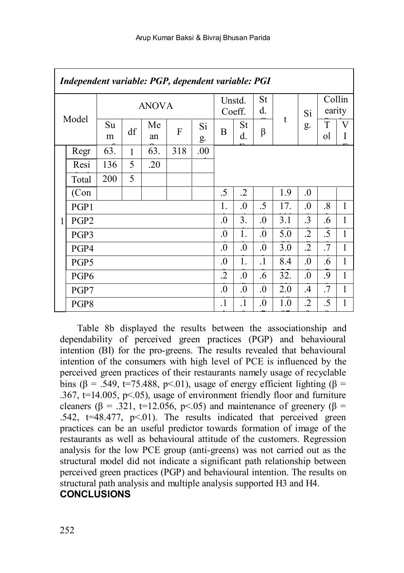$\overline{1}$ 

|   | Independent variable: PGP, dependent variable: PGI |         |              |          |     |          |                  |            |                  |            |               |                  |        |
|---|----------------------------------------------------|---------|--------------|----------|-----|----------|------------------|------------|------------------|------------|---------------|------------------|--------|
|   | Model                                              |         | <b>ANOVA</b> |          |     |          |                  |            | St<br>d.         |            | Si            | Collin<br>earity |        |
|   |                                                    | Su<br>m | df           | Me<br>an | F   | Si<br>g. | B                | St<br>d.   | β                | t          | g.            | T<br>ol          | V<br>1 |
|   | Regr                                               | 63.     | 1            | 63.      | 318 | $.00\,$  |                  |            |                  |            |               |                  |        |
|   | Resi                                               | 136     | 5            | .20      |     |          |                  |            |                  |            |               |                  |        |
|   | Total                                              | 200     | 5            |          |     |          |                  |            |                  |            |               |                  |        |
|   | (Con                                               |         |              |          |     |          | .5               | $\cdot$    |                  | 1.9        | $\Omega$ .    |                  |        |
|   | PGP1                                               |         |              |          |     | 1.       | $\Omega$ .       | .5         | 17.              | $\Omega$ . | $\cdot^8$     | $\mathbf{1}$     |        |
| 1 | PGP <sub>2</sub>                                   |         |              |          |     |          | $\overline{0}$ . | 3.         | $\cdot$          | 3.1        | $\cdot$ 3     | .6               | 1      |
|   | PGP3                                               |         |              |          |     |          | $\cdot$          | 1.         | $\Omega$ .       | 5.0        | $\cdot$       | .5               | 1      |
|   | PGP4                                               |         |              |          |     |          | $\Omega$ .       | $\Omega$ . | $\Omega$ .       | 3.0        | $\cdot$       | .7               | 1      |
|   | PGP <sub>5</sub>                                   |         |              |          |     |          | $\overline{0}$ . | 1.         | $\cdot$ 1        | 8.4        | $\Omega$      | .6               | 1      |
|   | PGP <sub>6</sub>                                   |         |              |          |     |          | .2               | $\cdot$    | .6               | 32.        | $\Omega$ .    | 9.               | 1      |
|   | PGP7                                               |         |              |          |     |          | $\Omega$         | $\Omega$ . | $\Omega$         | 2.0        | $\mathcal{A}$ | .7               | 1      |
|   | PGP8                                               |         |              |          |     |          | $\cdot$          | $\cdot$    | $\boldsymbol{0}$ | 1.0        | .2            | .5               | 1      |
|   |                                                    |         |              |          |     |          |                  |            |                  |            |               |                  |        |

Table 8b displayed the results between the associationship and dependability of perceived green practices (PGP) and behavioural intention (BI) for the pro-greens. The results revealed that behavioural intention of the consumers with high level of PCE is influenced by the perceived green practices of their restaurants namely usage of recyclable bins (β = .549, t=75.488, p<.01), usage of energy efficient lighting (β = .367,  $t=14.005$ ,  $p<.05$ ), usage of environment friendly floor and furniture cleaners ( $\beta$  = .321, t=12.056, p<.05) and maintenance of greenery ( $\beta$  =  $.542$ ,  $t=48.477$ ,  $p<01$ ). The results indicated that perceived green practices can be an useful predictor towards formation of image of the restaurants as well as behavioural attitude of the customers. Regression analysis for the low PCE group (anti-greens) was not carried out as the structural model did not indicate a significant path relationship between perceived green practices (PGP) and behavioural intention. The results on structural path analysis and multiple analysis supported H3 and H4.

# **CONCLUSIONS**

 $\overline{1}$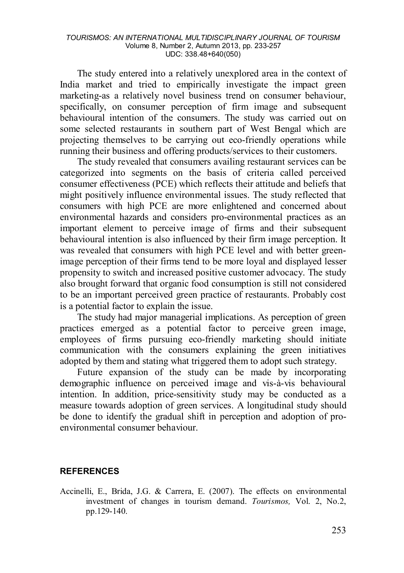The study entered into a relatively unexplored area in the context of India market and tried to empirically investigate the impact green marketing-as a relatively novel business trend on consumer behaviour, specifically, on consumer perception of firm image and subsequent behavioural intention of the consumers. The study was carried out on some selected restaurants in southern part of West Bengal which are projecting themselves to be carrying out eco-friendly operations while running their business and offering products/services to their customers.

The study revealed that consumers availing restaurant services can be categorized into segments on the basis of criteria called perceived consumer effectiveness (PCE) which reflects their attitude and beliefs that might positively influence environmental issues. The study reflected that consumers with high PCE are more enlightened and concerned about environmental hazards and considers pro-environmental practices as an important element to perceive image of firms and their subsequent behavioural intention is also influenced by their firm image perception. It was revealed that consumers with high PCE level and with better greenimage perception of their firms tend to be more loyal and displayed lesser propensity to switch and increased positive customer advocacy. The study also brought forward that organic food consumption is still not considered to be an important perceived green practice of restaurants. Probably cost is a potential factor to explain the issue.

The study had major managerial implications. As perception of green practices emerged as a potential factor to perceive green image, employees of firms pursuing eco-friendly marketing should initiate communication with the consumers explaining the green initiatives adopted by them and stating what triggered them to adopt such strategy.

Future expansion of the study can be made by incorporating demographic influence on perceived image and vis-à-vis behavioural intention. In addition, price-sensitivity study may be conducted as a measure towards adoption of green services. A longitudinal study should be done to identify the gradual shift in perception and adoption of proenvironmental consumer behaviour.

### **REFERENCES**

Accinelli, E., Brida, J.G. & Carrera, E. (2007). The effects on environmental investment of changes in tourism demand. *Tourismos,* Vol. 2, No.2, pp.129-140.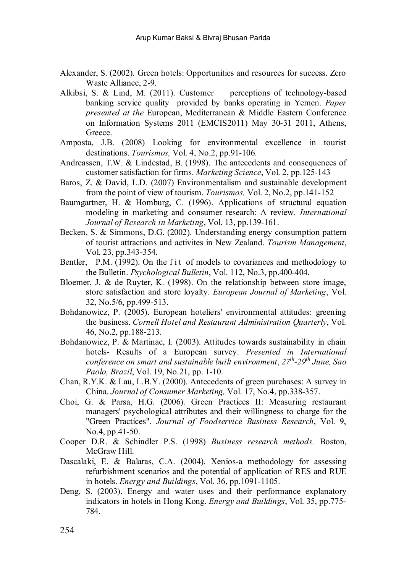- Alexander, S. (2002). Green hotels: Opportunities and resources for success. Zero Waste Alliance, 2-9.
- Alkibsi, S. & Lind, M. (2011). Customer perceptions of technology-based banking service quality provided by banks operating in Yemen. *Paner presented at the* European, Mediterranean & Middle Eastern Conference on Information Systems 2011 (EMCIS2011) May 30-31 2011, Athens, Greece.
- Amposta, J.B. (2008) Looking for environmental excellence in tourist destinations. *Tourismos,* Vol. 4, No.2, pp.91-106.
- Andreassen, T.W. & Lindestad, B. (1998). The antecedents and consequences of customer satisfaction for firms. *Marketing Science*, Vol. 2, pp.125-143
- Baros, Z. & David, L.D. (2007) Environmentalism and sustainable development from the point of view of tourism. *Tourismos,* Vol. 2, No.2, pp.141-152
- Baumgartner, H. & Homburg, C. (1996). Applications of structural equation modeling in marketing and consumer research: A review. *International Journal of Research in Marketing*, Vol. 13, pp.139-161.
- Becken, S. & Simmons, D.G. (2002). Understanding energy consumption pattern of tourist attractions and activites in New Zealand. *Tourism Management*, Vol. 23, pp.343-354.
- Bentler, P.M. (1992). On the fit of models to covariances and methodology to the Bulletin. *Psychological Bulletin*, Vol. 112, No.3, pp.400-404.
- Bloemer, J. & de Ruyter, K. (1998). On the relationship between store image, store satisfaction and store loyalty. *European Journal of Marketing*, Vol. 32, No.5/6, pp.499-513.
- Bohdanowicz, P. (2005). European hoteliers' environmental attitudes: greening the business. *Cornell Hotel and Restaurant Administration Quarterly*, Vol. 46, No.2, pp.188-213.
- Bohdanowicz, P. & Martinac, I. (2003). Attitudes towards sustainability in chain hotels- Results of a European survey. *Presented in International conference on smart and sustainable built environment*, *27th-29th June, Sao Paolo, Brazil*, Vol. 19, No.21, pp. 1-10.
- Chan, R.Y.K. & Lau, L.B.Y. (2000). Antecedents of green purchases: A survey in China. *Journal of Consumer Marketing,* Vol. 17, No.4, pp.338-357.
- Choi, G. & Parsa, H.G. (2006). Green Practices II: Measuring restaurant managers' psychological attributes and their willingness to charge for the "Green Practices". *Journal of Foodservice Business Research*, Vol. 9, No.4, pp.41-50.
- Cooper D.R. & Schindler P.S. (1998) *Business research methods.* Boston, McGraw Hill.
- Dascalaki, E. & Balaras, C.A. (2004). Xenios-a methodology for assessing refurbishment scenarios and the potential of application of RES and RUE in hotels. *Energy and Buildings*, Vol. 36, pp.1091-1105.
- Deng, S. (2003). Energy and water uses and their performance explanatory indicators in hotels in Hong Kong. *Energy and Buildings*, Vol. 35, pp.775- 784.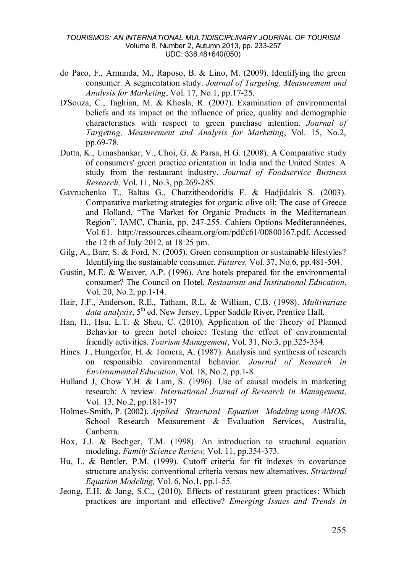- do Paco, F., Arminda, M., Raposo, B. & Lino, M. (2009). Identifying the green consumer: A segmentation study. *Journal of Targeting, Measurement and Analysis for Marketing*, Vol. 17, No.1, pp.17-25.
- D'Souza, C., Taghian, M. & Khosla, R. (2007). Examination of environmental beliefs and its impact on the influence of price, quality and demographic characteristics with respect to green purchase intention. *Journal of Targeting, Measurement and Analysis for Marketing*, Vol. 15, No.2, pp.69-78.
- Dutta, K., Umashankar, V., Choi, G. & Parsa, H.G. (2008). A Comparative study of consumers' green practice orientation in India and the United States: A study from the restaurant industry. *Journal of Foodservice Business Research,* Vol. 11, No.3, pp.269-285.
- Gavruchenko T., Baltas G., Chatzitheodoridis F. & Hadjidakis S. (2003). Comparative marketing strategies for organic olive oil: The case of Greece and Holland, "The Market for Organic Products in the Mediterranean Region". IAMC, Chania, pp. 247-255. Cahiers Options Mediterannéenes, Vol 61. http://ressources.ciheam.org/om/pdf/c61/00800167.pdf. Accessed the 12 th of July 2012, at 18:25 pm.
- Gilg, A., Barr, S. & Ford, N. (2005). Green consumption or sustainable lifestyles? Identifying the sustainable consumer. *Futures,* Vol. 37, No.6, pp.481-504.
- Gustin, M.E. & Weaver, A.P. (1996). Are hotels prepared for the environmental consumer? The Council on Hotel. *Restaurant and Institutional Education*, Vol. 20, No.2, pp.1-14.
- Hair, J.F., Anderson, R.E., Tatham, R.L. & William, C.B. (1998). *Multivariate data analysis*, 5th ed. New Jersey, Upper Saddle River, Prentice Hall.
- Han, H., Hsu, L.T. & Sheu, C. (2010). Application of the Theory of Planned Behavior to green hotel choice: Testing the effect of environmental friendly activities. *Tourism Management*, Vol. 31, No.3, pp.325-334.
- Hines. J., Hungerfor, H. & Tomera, A. (1987). Analysis and synthesis of research on responsible environmental behavior. *Journal of Research in Environmental Education*, Vol. 18, No.2, pp.1-8.
- Hulland J, Chow Y.H. & Lam, S. (1996). Use of causal models in marketing research: A review. *International Journal of Research in Management,* Vol. 13, No.2, pp.181-197
- Holmes-Smith, P. (2002). *Applied Structural Equation Modeling using AMOS*. School Research Measurement & Evaluation Services, Australia, Canberra.
- Hox, J.J. & Bechger, T.M. (1998). An introduction to structural equation modeling. *Family Science Review,* Vol. 11, pp.354-373.
- Hu, L. & Bentler, P.M. (1999). Cutoff criteria for fit indexes in covariance structure analysis: conventional criteria versus new alternatives. *Structural Equation Modeling,* Vol. 6, No.1, pp.1-55.
- Jeong, E.H. & Jang, S.C., (2010). Effects of restaurant green practices: Which practices are important and effective? *Emerging Issues and Trends in*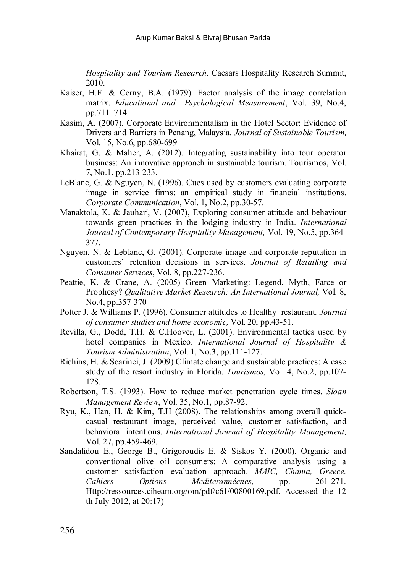*Hospitality and Tourism Research,* Caesars Hospitality Research Summit, 2010.

- Kaiser, H.F. & Cerny, B.A. (1979). Factor analysis of the image correlation matrix. *Educational and Psychological Measurement*, Vol. 39, No.4, pp.711–714.
- Kasim, A. (2007). Corporate Environmentalism in the Hotel Sector: Evidence of Drivers and Barriers in Penang, Malaysia. *Journal of Sustainable Tourism,* Vol. 15, No.6, pp.680-699
- Khairat, G. & Maher, A. (2012). Integrating sustainability into tour operator business: An innovative approach in sustainable tourism. Tourismos, Vol. 7, No.1, pp.213-233.
- LeBlanc, G. & Nguyen, N. (1996). Cues used by customers evaluating corporate image in service firms: an empirical study in financial institutions. *Corporate Communication*, Vol. 1, No.2, pp.30-57.
- Manaktola, K. & Jauhari, V. (2007), Exploring consumer attitude and behaviour towards green practices in the lodging industry in India. *International Journal of Contemporary Hospitality Management,* Vol. 19, No.5, pp.364- 377.
- Nguyen, N. & Leblanc, G. (2001). Corporate image and corporate reputation in customers' retention decisions in services. *Journal of Retailing and Consumer Services*, Vol. 8, pp.227-236.
- Peattie, K. & Crane, A. (2005) Green Marketing: Legend, Myth, Farce or Prophesy? *Qualitative Market Research: An International Journal,* Vol. 8, No.4, pp.357-370
- Potter J. & Williams P. (1996). Consumer attitudes to Healthy restaurant*. Journal of consumer studies and home economic,* Vol. 20, pp.43-51.
- Revilla, G., Dodd, T.H. & C.Hoover, L. (2001). Environmental tactics used by hotel companies in Mexico. *International Journal of Hospitality & Tourism Administration*, Vol. 1, No.3, pp.111-127.
- Richins, H. & Scarinci, J. (2009) Climate change and sustainable practices: A case study of the resort industry in Florida. *Tourismos,* Vol. 4, No.2, pp.107- 128.
- Robertson, T.S. (1993). How to reduce market penetration cycle times. *Sloan Management Review*, Vol. 35, No.1, pp.87-92.
- Ryu, K., Han, H. & Kim, T.H (2008). The relationships among overall quickcasual restaurant image, perceived value, customer satisfaction, and behavioral intentions. *International Journal of Hospitality Management,* Vol. 27, pp.459-469.
- Sandalidou E., George B., Grigoroudis E. & Siskos Y. (2000). Organic and conventional olive oil consumers: A comparative analysis using a customer satisfaction evaluation approach. *MAIC, Chania, Greece. Cahiers Options Mediterannéenes,* pp. Http://ressources.ciheam.org/om/pdf/c61/00800169.pdf. Accessed the 12 th July 2012, at 20:17)